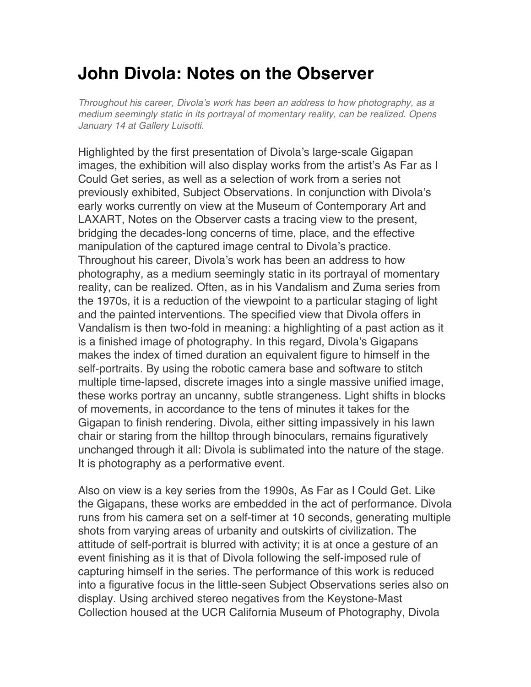## **John Divola: Notes on the Observer**

*Throughout his career, Divola*'*s work has been an address to how photography, as a medium seemingly static in its portrayal of momentary reality, can be realized. Opens January 14 at Gallery Luisotti.*

Highlighted by the first presentation of Divola's large-scale Gigapan images, the exhibition will also display works from the artist's As Far as I Could Get series, as well as a selection of work from a series not previously exhibited, Subject Observations. In conjunction with Divola's early works currently on view at the Museum of Contemporary Art and LAXART, Notes on the Observer casts a tracing view to the present, bridging the decades-long concerns of time, place, and the effective manipulation of the captured image central to Divola's practice. Throughout his career, Divola's work has been an address to how photography, as a medium seemingly static in its portrayal of momentary reality, can be realized. Often, as in his Vandalism and Zuma series from the 1970s, it is a reduction of the viewpoint to a particular staging of light and the painted interventions. The specified view that Divola offers in Vandalism is then two-fold in meaning: a highlighting of a past action as it is a finished image of photography. In this regard, Divola's Gigapans makes the index of timed duration an equivalent figure to himself in the self-portraits. By using the robotic camera base and software to stitch multiple time-lapsed, discrete images into a single massive unified image, these works portray an uncanny, subtle strangeness. Light shifts in blocks of movements, in accordance to the tens of minutes it takes for the Gigapan to finish rendering. Divola, either sitting impassively in his lawn chair or staring from the hilltop through binoculars, remains figuratively unchanged through it all: Divola is sublimated into the nature of the stage. It is photography as a performative event.

Also on view is a key series from the 1990s, As Far as I Could Get. Like the Gigapans, these works are embedded in the act of performance. Divola runs from his camera set on a self-timer at 10 seconds, generating multiple shots from varying areas of urbanity and outskirts of civilization. The attitude of self-portrait is blurred with activity; it is at once a gesture of an event finishing as it is that of Divola following the self-imposed rule of capturing himself in the series. The performance of this work is reduced into a figurative focus in the little-seen Subject Observations series also on display. Using archived stereo negatives from the Keystone-Mast Collection housed at the UCR California Museum of Photography, Divola